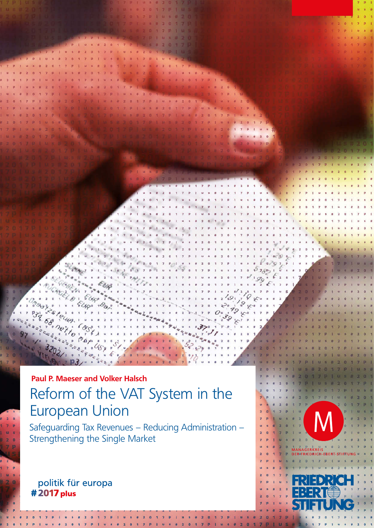## **Paul P. Maeser and Volker Halsch** Reform of the VAT System in the European Union

Safeguarding Tax Revenues – Reducing Administration – Strengthening the Single Market

**FRIEDRK** 

**EBERT** 

politik für europa #2017 plus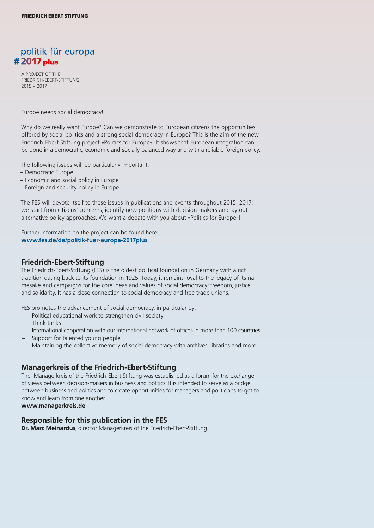### politik für europa #2017 plus

A PROJECT OF THE FRIEDRICH-EBERT-STIFTUNG 2015 – 2017

Europe needs social democracy!

Why do we really want Europe? Can we demonstrate to European citizens the opportunities offered by social politics and a strong social democracy in Europe? This is the aim of the new Friedrich-Ebert-Stiftung project »Politics for Europe«. It shows that European integration can be done in a democratic, economic and socially balanced way and with a reliable foreign policy.

The following issues will be particularly important:

- Democratic Europe
- Economic and social policy in Europe
- Foreign and security policy in Europe

The FES will devote itself to these issues in publications and events throughout 2015–2017: we start from citizens' concerns, identify new positions with decision-makers and lay out alternative policy approaches. We want a debate with you about »Politics for Europe«!

Further information on the project can be found here: **www.fes.de/de/politik-fuer-europa-2017plus**

#### **Friedrich-Ebert-Stiftung**

The Friedrich-Ebert-Stiftung (FES) is the oldest political foundation in Germany with a rich tradition dating back to its foundation in 1925. Today, it remains loyal to the legacy of its namesake and campaigns for the core ideas and values of social democracy: freedom, justice and solidarity. It has a close connection to social democracy and free trade unions.

FES promotes the advancement of social democracy, in particular by:

- Political educational work to strengthen civil society
- Think tanks
- International cooperation with our international network of offices in more than 100 countries
- Support for talented young people
- Maintaining the collective memory of social democracy with archives, libraries and more.

#### **Managerkreis of the Friedrich-Ebert-Stiftung**

The Managerkreis of the Friedrich-Ebert-Stiftung was established as a forum for the exchange of views between decision-makers in business and politics. It is intended to serve as a bridge between business and politics and to create opportunities for managers and politicians to get to know and learn from one another.

**www.managerkreis.de**

#### **Responsible for this publication in the FES**

**Dr. Marc Meinardus**, director Managerkreis of the Friedrich-Ebert-Stiftung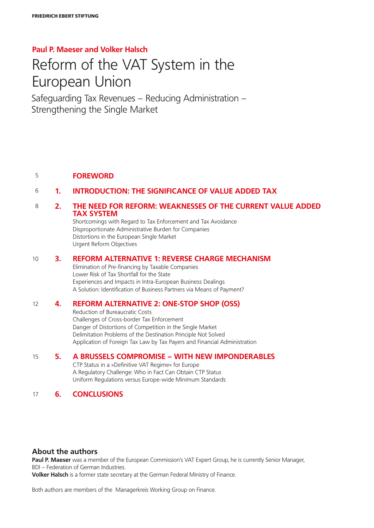### **Paul P. Maeser and Volker Halsch**

# Reform of the VAT System in the European Union

Safeguarding Tax Revenues – Reducing Administration – Strengthening the Single Market

#### **FOREWORD** 5

#### **1. INTRODUCTION: THE SIGNIFICANCE OF VALUE ADDED TAX** 6

#### **2. THE NEED FOR REFORM: WEAKNESSES OF THE CURRENT VALUE ADDED TAX SYSTEM**  8

Shortcomings with Regard to Tax Enforcement and Tax Avoidance Disproportionate Administrative Burden for Companies Distortions in the European Single Market Urgent Reform Objectives

#### **3. REFORM ALTERNATIVE 1: REVERSE CHARGE MECHANISM**  10

Elimination of Pre-financing by Taxable Companies Lower Risk of Tax Shortfall for the State Experiences and Impacts in Intra-European Business Dealings A Solution: Identification of Business Partners via Means of Payment?

#### **4. REFORM ALTERNATIVE 2: ONE-STOP SHOP (OSS)** 12

Reduction of Bureaucratic Costs Challenges of Cross-border Tax Enforcement Danger of Distortions of Competition in the Single Market Delimitation Problems of the Destination Principle Not Solved Application of Foreign Tax Law by Tax Payers and Financial Administration

#### **5. A BRUSSELS COMPROMISE – WITH NEW IMPONDERABLES** 15

CTP Status in a »Definitive VAT Regime« for Europe A Regulatory Challenge: Who in Fact Can Obtain CTP Status Uniform Regulations versus Europe-wide Minimum Standards

#### **6. CONCLUSIONS** 17

#### **About the authors**

**Paul P. Maeser** was a member of the European Commission's VAT Expert Group, he is currently Senior Manager, BDI – Federation of German Industries.

**Volker Halsch** is a former state secretary at the German Federal Ministry of Finance.

Both authors are members of the Managerkreis Working Group on Finance.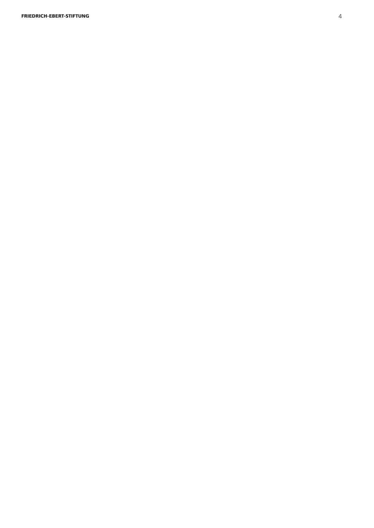FRIEDRICH-EBERT-STIFTUNG 4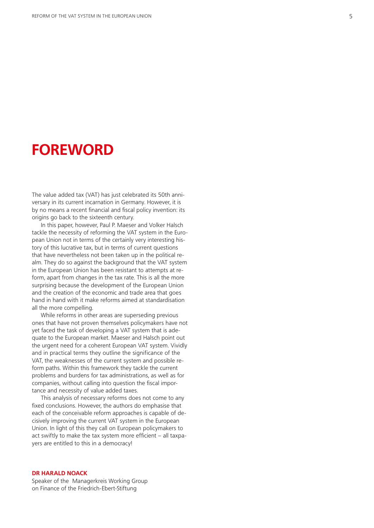## **FOREWORD**

The value added tax (VAT) has just celebrated its 50th anniversary in its current incarnation in Germany. However, it is by no means a recent financial and fiscal policy invention: its origins go back to the sixteenth century.

In this paper, however, Paul P. Maeser and Volker Halsch tackle the necessity of reforming the VAT system in the European Union not in terms of the certainly very interesting history of this lucrative tax, but in terms of current questions that have nevertheless not been taken up in the political realm. They do so against the background that the VAT system in the European Union has been resistant to attempts at reform, apart from changes in the tax rate. This is all the more surprising because the development of the European Union and the creation of the economic and trade area that goes hand in hand with it make reforms aimed at standardisation all the more compelling.

While reforms in other areas are superseding previous ones that have not proven themselves policymakers have not yet faced the task of developing a VAT system that is adequate to the European market. Maeser and Halsch point out the urgent need for a coherent European VAT system. Vividly and in practical terms they outline the significance of the VAT, the weaknesses of the current system and possible reform paths. Within this framework they tackle the current problems and burdens for tax administrations, as well as for companies, without calling into question the fiscal importance and necessity of value added taxes.

This analysis of necessary reforms does not come to any fixed conclusions. However, the authors do emphasise that each of the conceivable reform approaches is capable of decisively improving the current VAT system in the European Union. In light of this they call on European policymakers to act swiftly to make the tax system more efficient – all taxpayers are entitled to this in a democracy!

#### **DR HARALD NOACK**

Speaker of the Managerkreis Working Group on Finance of the Friedrich-Ebert-Stiftung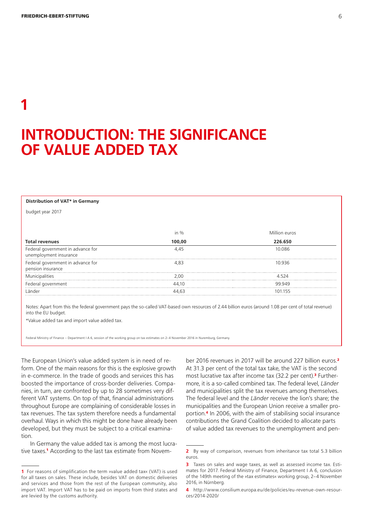## **INTRODUCTION: THE SIGNIFICANCE OF VALUE ADDED TAX**

#### **Distribution of VAT\* in Germany**

budget year 2017

| <b>Total revenues</b>                                  |      | Million euros<br>226.650 |
|--------------------------------------------------------|------|--------------------------|
|                                                        |      |                          |
| Federal government in advance for<br>pension insurance |      | 10936                    |
| Municipalities                                         | חח י | 524                      |
| Federal government                                     |      | 99 949                   |
| ander                                                  |      | 101 155                  |

Notes: Apart from this the federal government pays the so-called VAT-based own resources of 2.44 billion euros (around 1.08 per cent of total revenue) into the EU budget.

\*Vakue added tax and import value added tax.

Federal Ministry of Finance – Department I A 6, session of the working group on tax estimates on 2–4 November 2016 in Nuremburg, Germany.

The European Union's value added system is in need of reform. One of the main reasons for this is the explosive growth in e-commerce. In the trade of goods and services this has boosted the importance of cross-border deliveries. Companies, in turn, are confronted by up to 28 sometimes very different VAT systems. On top of that, financial administrations throughout Europe are complaining of considerable losses in tax revenues. The tax system therefore needs a fundamental overhaul. Ways in which this might be done have already been developed, but they must be subject to a critical examination.

In Germany the value added tax is among the most lucrative taxes.<sup>1</sup> According to the last tax estimate from November 2016 revenues in 2017 will be around 227 billion euros.<sup>2</sup> At 31.3 per cent of the total tax take, the VAT is the second most lucrative tax after income tax (32.2 per cent).<sup>3</sup> Furthermore, it is a so-called combined tax. The federal level, *Länder* and municipalities split the tax revenues among themselves. The federal level and the *Länder* receive the lion's share; the municipalities and the European Union receive a smaller proportion.4 In 2006, with the aim of stabilising social insurance contributions the Grand Coalition decided to allocate parts of value added tax revenues to the unemployment and pen-

**<sup>1</sup>** For reasons of simplification the term »value added tax« (VAT) is used for all taxes on sales. These include, besides VAT on domestic deliveries and services and those from the rest of the European community, also import VAT. Import VAT has to be paid on imports from third states and are levied by the customs authority.

**<sup>2</sup>** By way of comparison, revenues from inheritance tax total 5.3 billion euros.

**<sup>3</sup>** Taxes on sales and wage taxes, as well as assessed income tax. Estimates for 2017. Federal Ministry of Finance, Department I A 6, conclusion of the 149th meeting of the »tax estimates« working group, 2–4 November 2016, in Nürnberg.

**<sup>4</sup>** http://www.consilium.europa.eu/de/policies/eu-revenue-own-resources/2014-2020/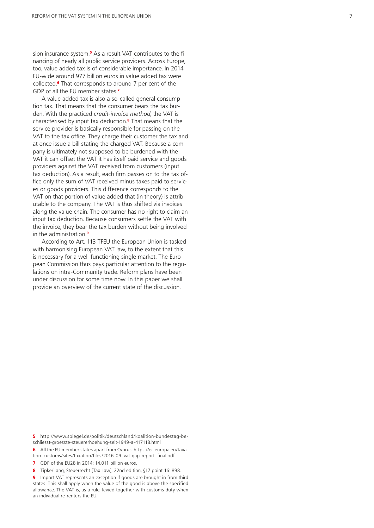sion insurance system.<sup>5</sup> As a result VAT contributes to the financing of nearly all public service providers. Across Europe, too, value added tax is of considerable importance. In 2014 EU-wide around 977 billion euros in value added tax were collected. <sup>6</sup> That corresponds to around 7 per cent of the GDP of all the EU member states.<sup>7</sup>

A value added tax is also a so-called general consump tion tax. That means that the consumer bears the tax bur den. With the practiced *credit-invoice method*, the VAT is characterised by input tax deduction. <sup>8</sup> That means that the service provider is basically responsible for passing on the VAT to the tax office. They charge their customer the tax and at once issue a bill stating the charged VAT. Because a com pany is ultimately not supposed to be burdened with the VAT it can offset the VAT it has itself paid service and goods providers against the VAT received from customers (input tax deduction). As a result, each firm passes on to the tax of fice only the sum of VAT received minus taxes paid to services or goods providers. This difference corresponds to the VAT on that portion of value added that (in theory) is attrib utable to the company. The VAT is thus shifted via invoices along the value chain. The consumer has no right to claim an input tax deduction. Because consumers settle the VAT with the invoice, they bear the tax burden without being involved in the administration. 9

According to Art. 113 TFEU the European Union is tasked with harmonising European VAT law, to the extent that this is necessary for a well-functioning single market. The Euro pean Commission thus pays particular attention to the regu lations on intra-Community trade. Reform plans have been under discussion for some time now. In this paper we shall provide an overview of the current state of the discussion.

**5** http://www.spiegel.de/politik/deutschland/koalition-bundestag-be schliesst-groesste-steuererhoehung-seit-1949-a-417118.html

6 All the EU member states apart from Cyprus. https://ec.europa.eu/taxation\_customs/sites/taxation/files/2016-09\_vat-gap-report\_final.pdf

**7** GDP of the EU28 in 2014: 14,011 billion euros.

**8** Tipke/Lang, Steuerrecht [Tax Law], 22nd edition, §17 point 16: 898.

**9** Import VAT represents an exception if goods are brought in from third states. This shall apply when the value of the good is above the specified allowance. The VAT is, as a rule, levied together with customs duty when an individual re-renters the EU.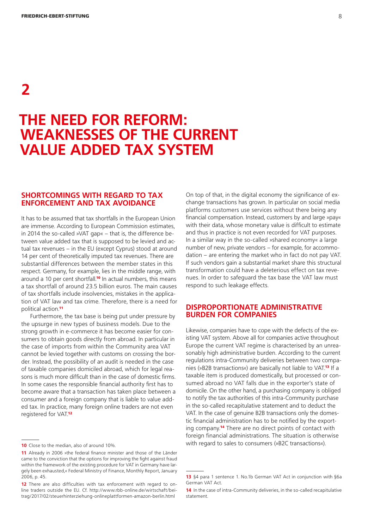## **THE NEED FOR REFORM: WEAKNESSES OF THE CURRENT VALUE ADDED TAX SYSTEM**

### **SHORTCOMINGS WITH REGARD TO TAX ENFORCEMENT AND TAX AVOIDANCE**

It has to be assumed that tax shortfalls in the European Union are immense. According to European Commission estimates, in 2014 the so-called »VAT gap« – that is, the difference between value added tax that is supposed to be levied and actual tax revenues – in the EU (except Cyprus) stood at around 14 per cent of theoretically imputed tax revenues. There are substantial differences between the member states in this respect. Germany, for example, lies in the middle range, with around a 10 per cent shortfall.<sup>10</sup> In actual numbers, this means a tax shortfall of around 23.5 billion euros. The main causes of tax shortfalls include insolvencies, mistakes in the application of VAT law and tax crime. Therefore, there is a need for political action.<sup>11</sup>

Furthermore, the tax base is being put under pressure by the upsurge in new types of business models. Due to the strong growth in e-commerce it has become easier for consumers to obtain goods directly from abroad. In particular in the case of imports from within the Community area VAT cannot be levied together with customs on crossing the border. Instead, the possibility of an audit is needed in the case of taxable companies domiciled abroad, which for legal reasons is much more difficult than in the case of domestic firms. In some cases the responsible financial authority first has to become aware that a transaction has taken place between a consumer and a foreign company that is liable to value added tax. In practice, many foreign online traders are not even registered for VAT.<sup>12</sup>

On top of that, in the digital economy the significance of exchange transactions has grown. In particular on social media platforms customers use services without there being any financial compensation. Instead, customers by and large »pay« with their data, whose monetary value is difficult to estimate and thus in practice is not even recorded for VAT purposes. In a similar way in the so-called »shared economy« a large number of new, private vendors – for example, for accommodation – are entering the market who in fact do not pay VAT. If such vendors gain a substantial market share this structural transformation could have a deleterious effect on tax revenues. In order to safeguard the tax base the VAT law must respond to such leakage effects.

#### **DISPROPORTIONATE ADMINISTRATIVE BURDEN FOR COMPANIES**

Likewise, companies have to cope with the defects of the existing VAT system. Above all for companies active throughout Europe the current VAT regime is characterised by an unreasonably high administrative burden. According to the current regulations intra-Community deliveries between two companies (»B2B transactions«) are basically not liable to VAT.13 If a taxable item is produced domestically, but processed or consumed abroad no VAT falls due in the exporter's state of domicile. On the other hand, a purchasing company is obliged to notify the tax authorities of this intra-Community purchase in the so-called recapitulative statement and to deduct the VAT. In the case of genuine B2B transactions only the domestic financial administration has to be notified by the exporting company.14 There are no direct points of contact with foreign financial administrations. The situation is otherwise with regard to sales to consumers (»B2C transactions«).

**<sup>10</sup>** Close to the median, also of around 10%.

**<sup>11</sup>** Already in 2006 »the federal finance minister and those of the Länder came to the conviction that the options for improving the fight against fraud within the framework of the existing procedure for VAT in Germany have largely been exhausted,« Federal Ministry of Finance, Monthly Report, January 2006, p. 45.

<sup>12</sup> There are also difficulties with tax enforcement with regard to online traders outside the EU. Cf. http://www.rbb-online.de/wirtschaft/beitrag/2017/02/steuerhinterziehung-onlineplattformen-amazon-berlin.html

**<sup>13</sup>** §4 para 1 sentence 1. No.1b German VAT Act in conjunction with §6a German VAT Act.

**<sup>14</sup>** In the case of intra-Community deliveries, in the so-called recapitulative statement.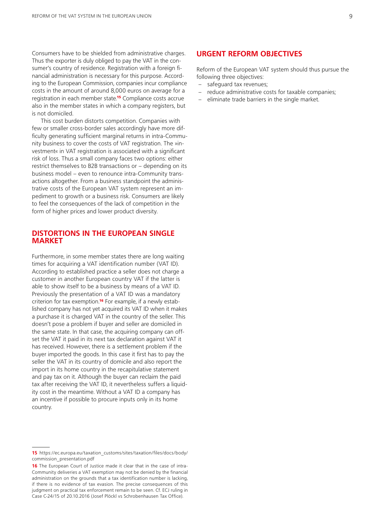Consumers have to be shielded from administrative charges. Thus the exporter is duly obliged to pay the VAT in the consumer's country of residence. Registration with a foreign financial administration is necessary for this purpose. According to the European Commission, companies incur compliance costs in the amount of around 8,000 euros on average for a registration in each member state.<sup>15</sup> Compliance costs accrue also in the member states in which a company registers, but is not domiciled.

This cost burden distorts competition. Companies with few or smaller cross-border sales accordingly have more difficulty generating sufficient marginal returns in intra-Community business to cover the costs of VAT registration. The »investment« in VAT registration is associated with a significant risk of loss. Thus a small company faces two options: either restrict themselves to B2B transactions or – depending on its business model – even to renounce intra-Community transactions altogether. From a business standpoint the administrative costs of the European VAT system represent an impediment to growth or a business risk. Consumers are likely to feel the consequences of the lack of competition in the form of higher prices and lower product diversity.

### **DISTORTIONS IN THE EUROPEAN SINGLE MARKET**

Furthermore, in some member states there are long waiting times for acquiring a VAT identification number (VAT ID). According to established practice a seller does not charge a customer in another European country VAT if the latter is able to show itself to be a business by means of a VAT ID. Previously the presentation of a VAT ID was a mandatory criterion for tax exemption.<sup>16</sup> For example, if a newly established company has not yet acquired its VAT ID when it makes a purchase it is charged VAT in the country of the seller. This doesn't pose a problem if buyer and seller are domiciled in the same state. In that case, the acquiring company can offset the VAT it paid in its next tax declaration against VAT it has received. However, there is a settlement problem if the buyer imported the goods. In this case it first has to pay the seller the VAT in its country of domicile and also report the import in its home country in the recapitulative statement and pay tax on it. Although the buyer can reclaim the paid tax after receiving the VAT ID, it nevertheless suffers a liquidity cost in the meantime. Without a VAT ID a company has an incentive if possible to procure inputs only in its home country.

#### **URGENT REFORM OBJECTIVES**

Reform of the European VAT system should thus pursue the following three objectives:

- safeguard tax revenues;
- reduce administrative costs for taxable companies;
- eliminate trade barriers in the single market.

**<sup>15</sup>** https://ec.europa.eu/taxation\_customs/sites/taxation/files/docs/body/ commission\_presentation.pdf

**<sup>16</sup>** The European Court of Justice made it clear that in the case of intra-Community deliveries a VAT exemption may not be denied by the financial administration on the grounds that a tax identification number is lacking, if there is no evidence of tax evasion. The precise consequences of this judgment on practical tax enforcement remain to be seen. Cf. ECJ ruling in Case C-24/15 of 20.10.2016 (Josef Plöckl vs Schrobenhausen Tax Office).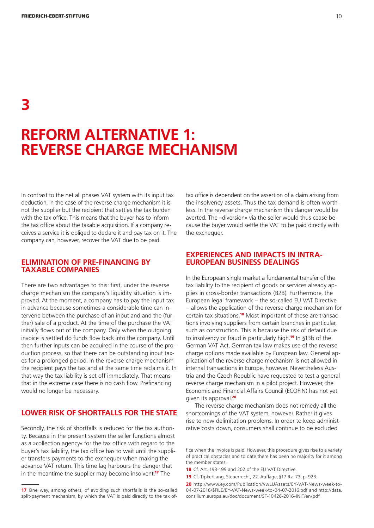## **REFORM ALTERNATIVE 1: REVERSE CHARGE MECHANISM**

In contrast to the net all phases VAT system with its input tax deduction, in the case of the reverse charge mechanism it is not the supplier but the recipient that settles the tax burden with the tax office. This means that the buyer has to inform the tax office about the taxable acquisition. If a company receives a service it is obliged to declare it and pay tax on it. The company can, however, recover the VAT due to be paid.

#### **ELIMINATION OF PRE-FINANCING BY TAXABLE COMPANIES**

There are two advantages to this: first, under the reverse charge mechanism the company's liquidity situation is improved. At the moment, a company has to pay the input tax in advance because sometimes a considerable time can intervene between the purchase of an input and and the (further) sale of a product. At the time of the purchase the VAT initially flows out of the company. Only when the outgoing invoice is settled do funds flow back into the company. Until then further inputs can be acquired in the course of the production process, so that there can be outstanding input taxes for a prolonged period. In the reverse charge mechanism the recipient pays the tax and at the same time reclaims it. In that way the tax liability is set off immediately. That means that in the extreme case there is no cash flow. Prefinancing would no longer be necessary.

### **LOWER RISK OF SHORTFALLS FOR THE STATE**

Secondly, the risk of shortfalls is reduced for the tax authority. Because in the present system the seller functions almost as a »collection agency« for the tax office with regard to the buyer's tax liability, the tax office has to wait until the supplier transfers payments to the exchequer when making the advance VAT return. This time lag harbours the danger that in the meantime the supplier may become insolvent.<sup>17</sup> The

tax office is dependent on the assertion of a claim arising from the insolvency assets. Thus the tax demand is often worthless. In the reverse charge mechanism this danger would be averted. The »diversion« via the seller would thus cease because the buyer would settle the VAT to be paid directly with the exchequer.

#### **EXPERIENCES AND IMPACTS IN INTRA-EUROPEAN BUSINESS DEALINGS**

In the European single market a fundamental transfer of the tax liability to the recipient of goods or services already applies in cross-border transactions (B2B). Furthermore, the European legal framework – the so-called EU VAT Directive – allows the application of the reverse charge mechanism for certain tax situations.18 Most important of these are transactions involving suppliers from certain branches in particular, such as construction. This is because the risk of default due to insolvency or fraud is particularly high.<sup>19</sup> In §13b of the German VAT Act, German tax law makes use of the reverse charge options made available by European law. General application of the reverse charge mechanism is not allowed in internal transactions in Europe, however. Nevertheless Austria and the Czech Republic have requested to test a general reverse charge mechanism in a pilot project. However, the Economic and Financial Affairs Council (ECOFIN) has not yet given its approval.<sup>20</sup>

The reverse charge mechanism does not remedy all the shortcomings of the VAT system, however. Rather it gives rise to new delimitation problems. In order to keep administrative costs down, consumers shall continue to be excluded

<sup>17</sup> One way, among others, of avoiding such shortfalls is the so-called split-payment mechanism, by which the VAT is paid directly to the tax of-

fice when the invoice is paid. However, this procedure gives rise to a variety of practical obstacles and to date there has been no majority for it among the member states.

**<sup>18</sup>** Cf. Art. 193-199 and 202 of the EU VAT Directive.

**<sup>19</sup>** Cf. Tipke/Lang, Steuerrecht, 22. Auflage, §17 Rz. 73, p. 923.

**<sup>20</sup>** http://www.ey.com/Publication/vwLUAssets/EY-VAT-News-week-to-04-07-2016/\$FILE/EY-VAT-News-week-to-04-07-2016.pdf and http://data. consilium.europa.eu/doc/document/ST-10426-2016-INIT/en/pdf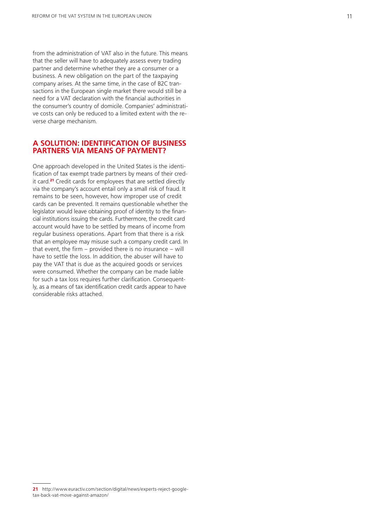from the administration of VAT also in the future. This means that the seller will have to adequately assess every trading partner and determine whether they are a consumer or a business. A new obligation on the part of the taxpaying company arises. At the same time, in the case of B2C transactions in the European single market there would still be a need for a VAT declaration with the financial authorities in the consumer's country of domicile. Companies' administrative costs can only be reduced to a limited extent with the reverse charge mechanism.

#### **A SOLUTION: IDENTIFICATION OF BUSINESS PARTNERS VIA MEANS OF PAYMENT?**

One approach developed in the United States is the identification of tax exempt trade partners by means of their credit card.<sup>21</sup> Credit cards for employees that are settled directly via the company's account entail only a small risk of fraud. It remains to be seen, however, how improper use of credit cards can be prevented. It remains questionable whether the legislator would leave obtaining proof of identity to the financial institutions issuing the cards. Furthermore, the credit card account would have to be settled by means of income from regular business operations. Apart from that there is a risk that an employee may misuse such a company credit card. In that event, the firm  $-$  provided there is no insurance  $-$  will have to settle the loss. In addition, the abuser will have to pay the VAT that is due as the acquired goods or services were consumed. Whether the company can be made liable for such a tax loss requires further clarification. Consequently, as a means of tax identification credit cards appear to have considerable risks attached.

**<sup>21</sup>** http://www.euractiv.com/section/digital/news/experts-reject-googletax-back-vat-move-against-amazon/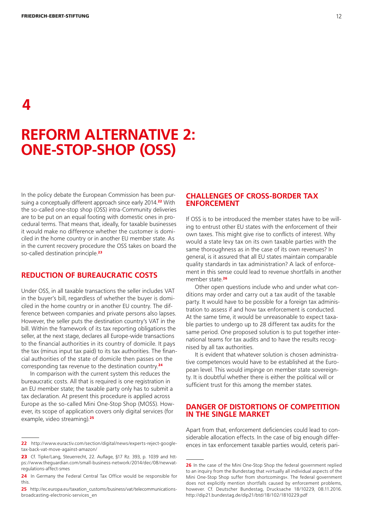# **REFORM ALTERNATIVE 2: ONE-STOP-SHOP (OSS)**

In the policy debate the European Commission has been pursuing a conceptually different approach since early 2014.<sup>22</sup> With the so-called one-stop shop (OSS) intra-Community deliveries are to be put on an equal footing with domestic ones in procedural terms. That means that, ideally, for taxable businesses it would make no difference whether the customer is domiciled in the home country or in another EU member state. As in the current recovery procedure the OSS takes on board the so-called destination principle.<sup>23</sup>

### **REDUCTION OF BUREAUCRATIC COSTS**

Under OSS, in all taxable transactions the seller includes VAT in the buyer's bill, regardless of whether the buyer is domiciled in the home country or in another EU country. The difference between companies and private persons also lapses. However, the seller puts the destination country's VAT in the bill. Within the framework of its tax reporting obligations the seller, at the next stage, declares all Europe-wide transactions to the financial authorities in its country of domicile. It pays the tax (minus input tax paid) to its tax authorities. The financial authorities of the state of domicile then passes on the corresponding tax revenue to the destination country.<sup>24</sup>

In comparison with the current system this reduces the bureaucratic costs. All that is required is one registration in an EU member state; the taxable party only has to submit a tax declaration. At present this procedure is applied across Europe as the so-called Mini One-Stop Shop (MOSS). However, its scope of application covers only digital services (for example, video streaming).<sup>25</sup>

### **CHALLENGES OF CROSS-BORDER TAX ENFORCEMENT**

If OSS is to be introduced the member states have to be willing to entrust other EU states with the enforcement of their own taxes. This might give rise to conflicts of interest. Why would a state levy tax on its own taxable parties with the same thoroughness as in the case of its own revenues? In general, is it assured that all EU states maintain comparable quality standards in tax administration? A lack of enforcement in this sense could lead to revenue shortfalls in another member state.<sup>26</sup>

Other open questions include who and under what conditions may order and carry out a tax audit of the taxable party. It would have to be possible for a foreign tax administration to assess if and how tax enforcement is conducted. At the same time, it would be unreasonable to expect taxable parties to undergo up to 28 different tax audits for the same period. One proposed solution is to put together international teams for tax audits and to have the results recognised by all tax authorities.

It is evident that whatever solution is chosen administrative competences would have to be established at the European level. This would impinge on member state sovereignty. It is doubtful whether there is either the political will or sufficient trust for this among the member states.

#### **DANGER OF DISTORTIONS OF COMPETITION IN THE SINGLE MARKET**

Apart from that, enforcement deficiencies could lead to considerable allocation effects. In the case of big enough differences in tax enforcement taxable parties would, ceteris pari-

**<sup>22</sup>** http://www.euractiv.com/section/digital/news/experts-reject-googletax-back-vat-move-against-amazon/

<sup>23</sup> Cf. Tipke/Lang, Steuerrecht, 22. Auflage, §17 Rz. 393, p. 1039 and https://www.theguardian.com/small-business-network/2014/dec/08/newvatregulations-affect-smes

<sup>24</sup> In Germany the Federal Central Tax Office would be responsible for this.

<sup>25</sup> http://ec.europa.eu/taxation customs/business/vat/telecommunicationsbroadcasting-electronic-services\_en

**<sup>26</sup>** In the case of the Mini One-Stop Shop the federal government replied to an inquiry from the Bundestag that »virtually all individual aspects of the Mini One-Stop Shop suffer from shortcomings«. The federal government does not explicitly mention shortfalls caused by enforcement problems, however. Cf. Deutscher Bundestag, Drucksache 18/10229, 08.11.2016. http://dip21.bundestag.de/dip21/btd/18/102/1810229.pdf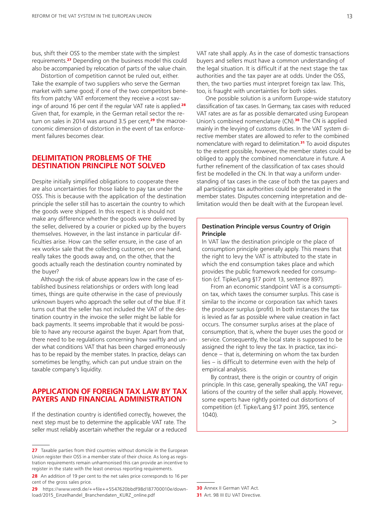bus, shift their OSS to the member state with the simplest requirements.27 Depending on the business model this could also be accompanied by relocation of parts of the value chain.

Distortion of competition cannot be ruled out, either. Take the example of two suppliers who serve the German market with same good; if one of the two competitors benefits from patchy VAT enforcement they receive a »cost saving« of around 16 per cent if the regular VAT rate is applied.<sup>28</sup> Given that, for example, in the German retail sector the return on sales in 2014 was around 3.5 per cent, $29$  the macroeconomic dimension of distortion in the event of tax enforcement failures becomes clear.

### **DELIMITATION PROBLEMS OF THE DESTINATION PRINCIPLE NOT SOLVED**

Despite initially simplified obligations to cooperate there are also uncertainties for those liable to pay tax under the OSS. This is because with the application of the destination principle the seller still has to ascertain the country to which the goods were shipped. In this respect it is should not make any difference whether the goods were delivered by the seller, delivered by a courier or picked up by the buyers themselves. However, in the last instance in particular difficulties arise. How can the seller ensure, in the case of an »ex works« sale that the collecting customer, on one hand, really takes the goods away and, on the other, that the goods actually reach the destination country nominated by the buyer?

Although the risk of abuse appears low in the case of established business relationships or orders with long lead times, things are quite otherwise in the case of previously unknown buyers who approach the seller out of the blue. If it turns out that the seller has not included the VAT of the destination country in the invoice the seller might be liable for back payments. It seems improbable that it would be possible to have any recourse against the buyer. Apart from that, there need to be regulations concerning how swiftly and under what conditions VAT that has been charged erroneously has to be repaid by the member states. In practice, delays can sometimes be lengthy, which can put undue strain on the taxable company's liquidity.

### **APPLICATION OF FOREIGN TAX LAW BY TAX PAYERS AND FINANCIAL ADMINISTRATION**

If the destination country is identified correctly, however, the next step must be to determine the applicable VAT rate. The seller must reliably ascertain whether the regular or a reduced VAT rate shall apply. As in the case of domestic transactions buyers and sellers must have a common understanding of the legal situation. It is difficult if at the next stage the tax authorities and the tax payer are at odds. Under the OSS, then, the two parties must interpret foreign tax law. This, too, is fraught with uncertainties for both sides.

One possible solution is a uniform Europe-wide statutory classification of tax cases. In Germany, tax cases with reduced VAT rates are as far as possible demarcated using European Union's combined nomenclature (CN).<sup>30</sup> The CN is applied mainly in the levying of customs duties. In the VAT system directive member states are allowed to refer to the combined nomenclature with regard to delimitation.<sup>31</sup> To avoid disputes to the extent possible, however, the member states could be obliged to apply the combined nomenclature in future. A further refinement of the classification of tax cases should first be modelled in the CN. In that way a uniform understanding of tax cases in the case of both the tax payers and all participating tax authorities could be generated in the member states. Disputes concerning interpretation and delimitation would then be dealt with at the European level.

#### **Destination Principle versus Country of Origin Principle**

In VAT law the destination principle or the place of consumption principle generally apply. This means that the right to levy the VAT is attributed to the state in which the end consumption takes place and which provides the public framework needed for consumption (cf. Tipke/Lang §17 point 13, sentence 897).

From an economic standpoint VAT is a consumption tax, which taxes the consumer surplus. This case is similar to the income or corporation tax which taxes the producer surplus (profit). In both instances the tax is levied as far as possible where value creation in fact occurs. The consumer surplus arises at the place of consumption, that is, where the buyer uses the good or service. Consequently, the local state is supposed to be assigned the right to levy the tax. In practice, tax incidence – that is, determining on whom the tax burden lies – is difficult to determine even with the help of empirical analysis.

By contrast, there is the origin or country of origin principle. In this case, generally speaking, the VAT regulations of the country of the seller shall apply. However, some experts have rightly pointed out distortions of competition (cf. Tipke/Lang §17 point 395, sentence 1040).

>

**<sup>27</sup>** Taxable parties from third countries without domicile in the European Union register their OSS in a member state of their choice. As long as registration requirements remain unharmonised this can provide an incentive to register in the state with the least onerous reporting requirements.

**<sup>28</sup>** An addition of 19 per cent to the net sales price corresponds to 16 per cent of the gross sales price.

**<sup>29</sup>** https://www.verdi.de/++file++5547620bbdf98d187700010e/download/2015\_Einzelhandel\_Branchendaten\_KURZ\_online.pdf

**<sup>30</sup>** Annex II German VAT Act. **31** Art. 98 III EU VAT Directive.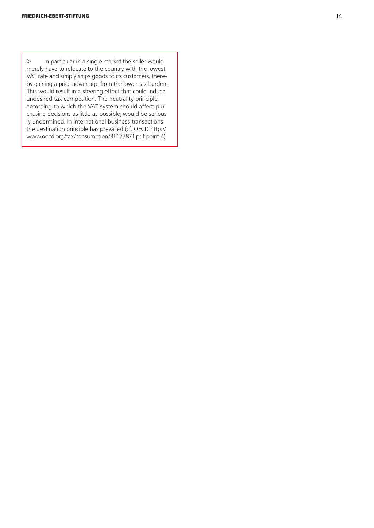> In particular in a single market the seller would merely have to relocate to the country with the lowest VAT rate and simply ships goods to its customers, there by gaining a price advantage from the lower tax burden. This would result in a steering effect that could induce undesired tax competition. The neutrality principle, according to which the VAT system should affect pur chasing decisions as little as possible, would be serious ly undermined. In international business transactions the destination principle has prevailed (cf. OECD http:// www.oecd.org/tax/consumption/36177871.pdf point 4).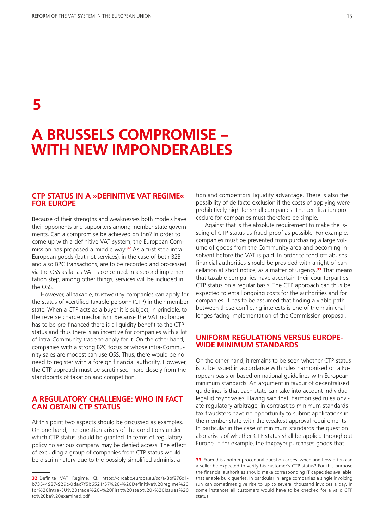**5**

# **A BRUSSELS COMPROMISE – WITH NEW IMPONDERABLES**

#### **CTP STATUS IN A »DEFINITIVE VAT REGIME« FOR EUROPE**

Because of their strengths and weaknesses both models have their opponents and supporters among member state governments. Can a compromise be achieved on this? In order to come up with a definitive VAT system, the European Commission has proposed a middle way:<sup>32</sup> As a first step intra-European goods (but not services), in the case of both B2B and also B2C transactions, are to be recorded and processed via the OSS as far as VAT is concerned. In a second implementation step, among other things, services will be included in the OSS..

However, all taxable, trustworthy companies can apply for the status of »certified taxable person« (CTP) in their member state. When a CTP acts as a buyer it is subject, in principle, to the reverse charge mechanism. Because the VAT no longer has to be pre-financed there is a liquidity benefit to the CTP status and thus there is an incentive for companies with a lot of intra-Community trade to apply for it. On the other hand, companies with a strong B2C focus or whose intra-Community sales are modest can use OSS. Thus, there would be no need to register with a foreign financial authority. However, the CTP approach must be scrutinised more closely from the standpoints of taxation and competition.

#### **A REGULATORY CHALLENGE: WHO IN FACT CAN OBTAIN CTP STATUS**

At this point two aspects should be discussed as examples. On one hand, the question arises of the conditions under which CTP status should be granted. In terms of regulatory policy no serious company may be denied access. The effect of excluding a group of companies from CTP status would be discriminatory due to the possibly simplified administration and competitors' liquidity advantage. There is also the possibility of de facto exclusion if the costs of applying were prohibitively high for small companies. The certification procedure for companies must therefore be simple.

Against that is the absolute requirement to make the issuing of CTP status as fraud-proof as possible. For example, companies must be prevented from purchasing a large volume of goods from the Community area and becoming insolvent before the VAT is paid. In order to fend off abuses financial authorities should be provided with a right of cancellation at short notice, as a matter of urgency.<sup>33</sup> That means that taxable companies have ascertain their counterparties' CTP status on a regular basis. The CTP approach can thus be expected to entail ongoing costs for the authorities and for companies. It has to be assumed that finding a viable path between these conflicting interests is one of the main challenges facing implementation of the Commission proposal.

### **UNIFORM REGULATIONS VERSUS EUROPE-WIDE MINIMUM STANDARDS**

On the other hand, it remains to be seen whether CTP status is to be issued in accordance with rules harmonised on a European basis or based on national guidelines with European minimum standards. An argument in favour of decentralised guidelines is that each state can take into account individual legal idiosyncrasies. Having said that, harmonised rules obviate regulatory arbitrage; in contrast to minimum standards tax fraudsters have no opportunity to submit applications in the member state with the weakest approval requirements. In particular in the case of minimum standards the question also arises of whether CTP status shall be applied throughout Europe. If, for example, the taxpayer purchases goods that

**<sup>32</sup>** Definite VAT Regime. Cf. https://circabc.europa.eu/sd/a/8bf976d1 b735-4927-929c-0dac7f5b6521/57%20-%20Definitive%20regime%20 for%20intra-EU%20trade%20-%20First%20step%20-%20Issues%20 to%20be%20examined.pdf

**<sup>33</sup>** From this another procedural question arises: when and how often can a seller be expected to verify his customer's CTP status? For this purpose the financial authorities should make corresponding IT capacities available, that enable bulk queries. In particular in large companies a single invoicing run can sometimes give rise to up to several thousand invoices a day. In some instances all customers would have to be checked for a valid CTP status.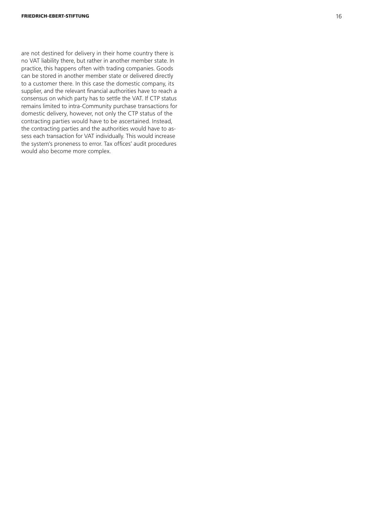are not destined for delivery in their home country there is no VAT liability there, but rather in another member state. In practice, this happens often with trading companies. Goods can be stored in another member state or delivered directly to a customer there. In this case the domestic company, its supplier, and the relevant financial authorities have to reach a consensus on which party has to settle the VAT. If CTP status remains limited to intra-Community purchase transactions for domestic delivery, however, not only the CTP status of the contracting parties would have to be ascertained. Instead, the contracting parties and the authorities would have to as sess each transaction for VAT individually. This would increase the system's proneness to error. Tax offices' audit procedures would also become more complex.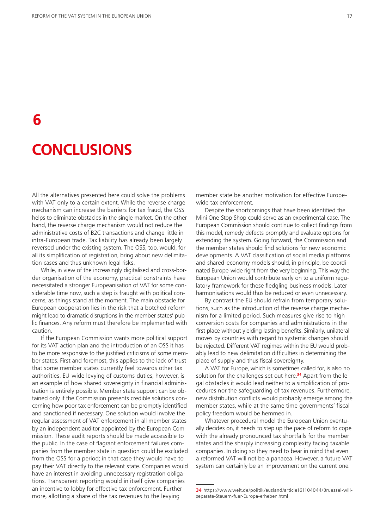## **6**

# **CONCLUSIONS**

All the alternatives presented here could solve the problems with VAT only to a certain extent. While the reverse charge mechanism can increase the barriers for tax fraud, the OSS helps to eliminate obstacles in the single market. On the other hand, the reverse charge mechanism would not reduce the administrative costs of B2C transactions and change little in intra-European trade. Tax liability has already been largely reversed under the existing system. The OSS, too, would, for all its simplification of registration, bring about new delimitation cases and thus unknown legal risks.

While, in view of the increasingly digitalised and cross-border organisation of the economy, practical constraints have necessitated a stronger Europeanisation of VAT for some considerable time now, such a step is fraught with political concerns, as things stand at the moment. The main obstacle for European cooperation lies in the risk that a botched reform might lead to dramatic disruptions in the member states' public finances. Any reform must therefore be implemented with caution.

If the European Commission wants more political support for its VAT action plan and the introduction of an OSS it has to be more responsive to the justified criticisms of some member states. First and foremost, this applies to the lack of trust that some member states currently feel towards other tax authorities. EU-wide levying of customs duties, however, is an example of how shared sovereignty in financial administration is entirely possible. Member state support can be obtained only if the Commission presents credible solutions concerning how poor tax enforcement can be promptly identified and sanctioned if necessary. One solution would involve the regular assessment of VAT enforcement in all member states by an independent auditor appointed by the European Commission. These audit reports should be made accessible to the public. In the case of flagrant enforcement failures companies from the member state in question could be excluded from the OSS for a period; in that case they would have to pay their VAT directly to the relevant state. Companies would have an interest in avoiding unnecessary registration obligations. Transparent reporting would in itself give companies an incentive to lobby for effective tax enforcement. Furthermore, allotting a share of the tax revenues to the levying

member state be another motivation for effective Europewide tax enforcement.

Despite the shortcomings that have been identified the Mini One-Stop Shop could serve as an experimental case. The European Commission should continue to collect findings from this model, remedy defects promptly and evaluate options for extending the system. Going forward, the Commission and the member states should find solutions for new economic developments. A VAT classification of social media platforms and shared-economy models should, in principle, be coordinated Europe-wide right from the very beginning. This way the European Union would contribute early on to a uniform regulatory framework for these fledgling business models. Later harmonisations would thus be reduced or even unnecessary.

By contrast the EU should refrain from temporary solutions, such as the introduction of the reverse charge mechanism for a limited period. Such measures give rise to high conversion costs for companies and administrations in the first place without yielding lasting benefits. Similarly, unilateral moves by countries with regard to systemic changes should be rejected. Different VAT regimes within the EU would probably lead to new delimitation difficulties in determining the place of supply and thus fiscal sovereignty.

A VAT for Europe, which is sometimes called for, is also no solution for the challenges set out here.<sup>34</sup> Apart from the legal obstacles it would lead neither to a simplification of procedures nor the safeguarding of tax revenues. Furthermore, new distribution conflicts would probably emerge among the member states, while at the same time governments' fiscal policy freedom would be hemmed in.

Whatever procedural model the European Union eventually decides on, it needs to step up the pace of reform to cope with the already pronounced tax shortfalls for the member states and the sharply increasing complexity facing taxable companies. In doing so they need to bear in mind that even a reformed VAT will not be a panacea. However, a future VAT system can certainly be an improvement on the current one.

**<sup>34</sup>** https://www.welt.de/politik/ausland/article161104044/Bruessel-willseparate-Steuern-fuer-Europa-erheben.html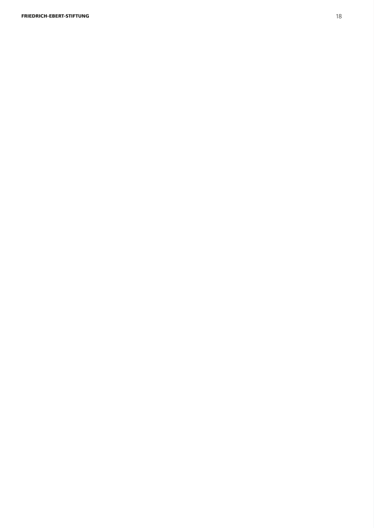FRIEDRICH-EBERT-STIFTUNG 18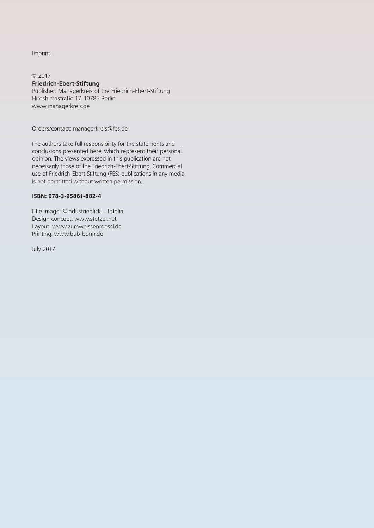Imprint:

© 2017 **Friedrich-Ebert-Stiftung** Publisher: Managerkreis of the Friedrich-Ebert-Stiftung Hiroshimastraße 17, 10785 Berlin www.managerkreis.de

Orders/contact: managerkreis@fes.de

The authors take full responsibility for the statements and conclusions presented here, which represent their personal opinion. The views expressed in this publication are not necessarily those of the Friedrich-Ebert-Stiftung. Commercial use of Friedrich-Ebert-Stiftung (FES) publications in any media is not permitted without written permission.

#### **ISBN: 978-3-95861-882-4**

Title image: ©industrieblick – fotolia Design concept: www.stetzer.net Layout: www.zumweissenroessl.de Printing: www.bub-bonn.de

July 2017